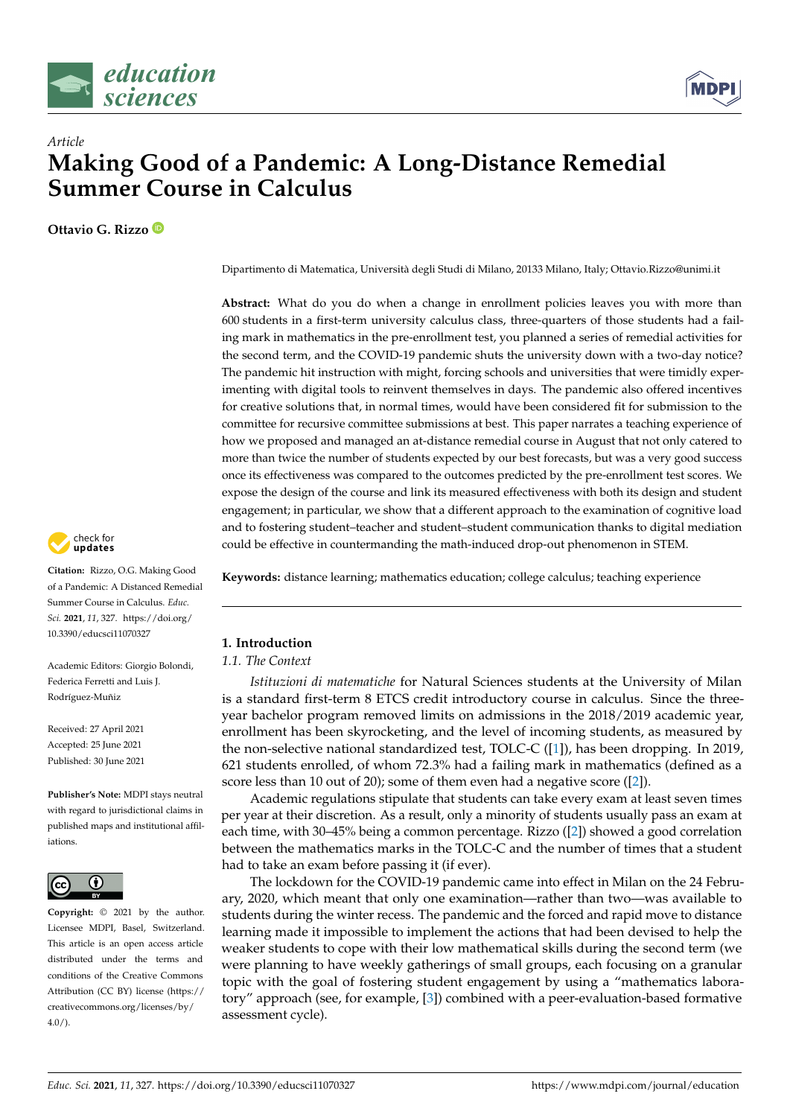



# *Article* **Making Good of a Pandemic: A Long-Distance Remedial Summer Course in Calculus**

**Ottavio G. Rizzo**



**Citation:** Rizzo, O.G. Making Good of a Pandemic: A Distanced Remedial Summer Course in Calculus. *Educ. Sci.* **2021**, *11*, 327. [https://doi.org/](https://doi.org/10.3390/educsci11070327) [10.3390/educsci11070327](https://doi.org/10.3390/educsci11070327)

Academic Editors: Giorgio Bolondi, Federica Ferretti and Luis J. Rodríguez-Muñiz

Received: 27 April 2021 Accepted: 25 June 2021 Published: 30 June 2021

**Publisher's Note:** MDPI stays neutral with regard to jurisdictional claims in published maps and institutional affiliations.



**Copyright:** © 2021 by the author. Licensee MDPI, Basel, Switzerland. This article is an open access article distributed under the terms and conditions of the Creative Commons Attribution (CC BY) license (https:/[/](https://creativecommons.org/licenses/by/4.0/) [creativecommons.org/licenses/by/](https://creativecommons.org/licenses/by/4.0/)  $4.0/$ ).

Dipartimento di Matematica, Università degli Studi di Milano, 20133 Milano, Italy; Ottavio.Rizzo@unimi.it

**Abstract:** What do you do when a change in enrollment policies leaves you with more than 600 students in a first-term university calculus class, three-quarters of those students had a failing mark in mathematics in the pre-enrollment test, you planned a series of remedial activities for the second term, and the COVID-19 pandemic shuts the university down with a two-day notice? The pandemic hit instruction with might, forcing schools and universities that were timidly experimenting with digital tools to reinvent themselves in days. The pandemic also offered incentives for creative solutions that, in normal times, would have been considered fit for submission to the committee for recursive committee submissions at best. This paper narrates a teaching experience of how we proposed and managed an at-distance remedial course in August that not only catered to more than twice the number of students expected by our best forecasts, but was a very good success once its effectiveness was compared to the outcomes predicted by the pre-enrollment test scores. We expose the design of the course and link its measured effectiveness with both its design and student engagement; in particular, we show that a different approach to the examination of cognitive load and to fostering student–teacher and student–student communication thanks to digital mediation could be effective in countermanding the math-induced drop-out phenomenon in STEM.

**Keywords:** distance learning; mathematics education; college calculus; teaching experience

# **1. Introduction**

# *1.1. The Context*

*Istituzioni di matematiche* for Natural Sciences students at the University of Milan is a standard first-term 8 ETCS credit introductory course in calculus. Since the threeyear bachelor program removed limits on admissions in the 2018/2019 academic year, enrollment has been skyrocketing, and the level of incoming students, as measured by the non-selective national standardized test, TOLC-C ([\[1\]](#page-15-0)), has been dropping. In 2019, 621 students enrolled, of whom 72.3% had a failing mark in mathematics (defined as a score less than 10 out of 20); some of them even had a negative score ([\[2\]](#page-15-1)).

Academic regulations stipulate that students can take every exam at least seven times per year at their discretion. As a result, only a minority of students usually pass an exam at each time, with 30–45% being a common percentage. Rizzo ([\[2\]](#page-15-1)) showed a good correlation between the mathematics marks in the TOLC-C and the number of times that a student had to take an exam before passing it (if ever).

The lockdown for the COVID-19 pandemic came into effect in Milan on the 24 February, 2020, which meant that only one examination—rather than two—was available to students during the winter recess. The pandemic and the forced and rapid move to distance learning made it impossible to implement the actions that had been devised to help the weaker students to cope with their low mathematical skills during the second term (we were planning to have weekly gatherings of small groups, each focusing on a granular topic with the goal of fostering student engagement by using a "mathematics laboratory" approach (see, for example, [\[3\]](#page-15-2)) combined with a peer-evaluation-based formative assessment cycle).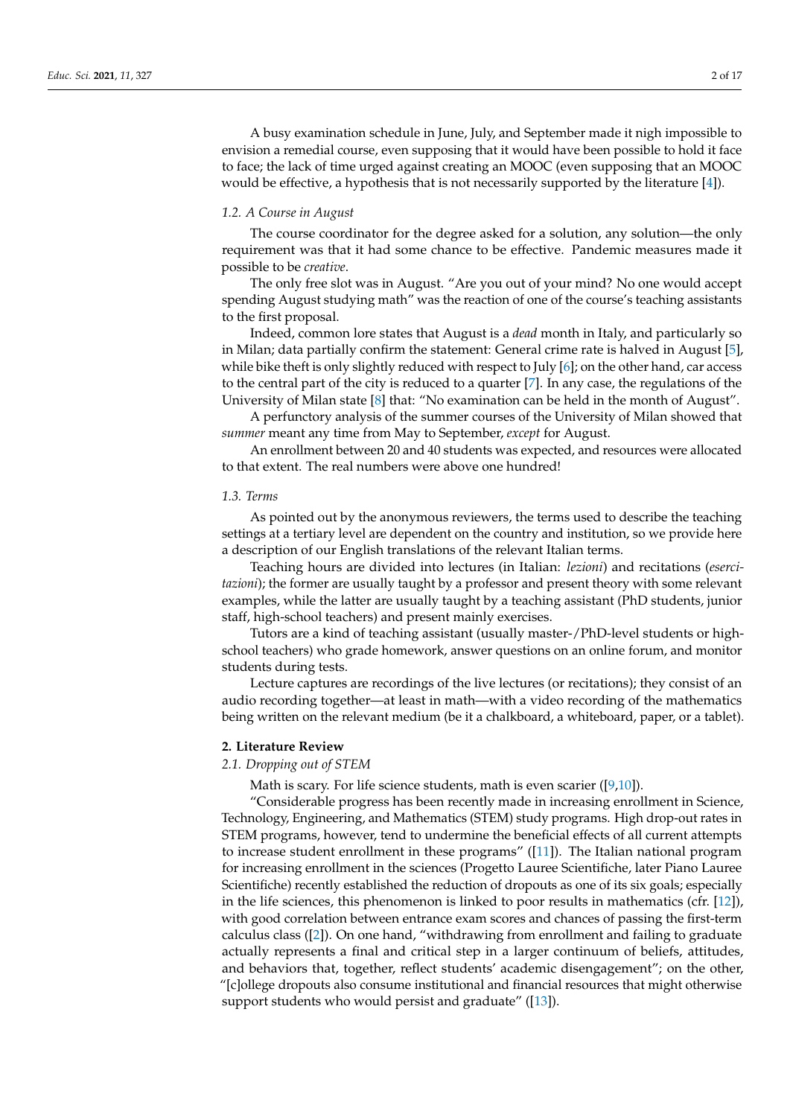A busy examination schedule in June, July, and September made it nigh impossible to envision a remedial course, even supposing that it would have been possible to hold it face to face; the lack of time urged against creating an MOOC (even supposing that an MOOC would be effective, a hypothesis that is not necessarily supported by the literature [\[4\]](#page-15-3)).

# *1.2. A Course in August*

The course coordinator for the degree asked for a solution, any solution—the only requirement was that it had some chance to be effective. Pandemic measures made it possible to be *creative*.

The only free slot was in August. "Are you out of your mind? No one would accept spending August studying math" was the reaction of one of the course's teaching assistants to the first proposal.

Indeed, common lore states that August is a *dead* month in Italy, and particularly so in Milan; data partially confirm the statement: General crime rate is halved in August [\[5\]](#page-15-4), while bike theft is only slightly reduced with respect to July  $[6]$ ; on the other hand, car access to the central part of the city is reduced to a quarter [\[7\]](#page-15-6). In any case, the regulations of the University of Milan state [\[8\]](#page-15-7) that: "No examination can be held in the month of August".

A perfunctory analysis of the summer courses of the University of Milan showed that *summer* meant any time from May to September, *except* for August.

An enrollment between 20 and 40 students was expected, and resources were allocated to that extent. The real numbers were above one hundred!

#### *1.3. Terms*

As pointed out by the anonymous reviewers, the terms used to describe the teaching settings at a tertiary level are dependent on the country and institution, so we provide here a description of our English translations of the relevant Italian terms.

Teaching hours are divided into lectures (in Italian: *lezioni*) and recitations (*esercitazioni*); the former are usually taught by a professor and present theory with some relevant examples, while the latter are usually taught by a teaching assistant (PhD students, junior staff, high-school teachers) and present mainly exercises.

Tutors are a kind of teaching assistant (usually master-/PhD-level students or highschool teachers) who grade homework, answer questions on an online forum, and monitor students during tests.

Lecture captures are recordings of the live lectures (or recitations); they consist of an audio recording together—at least in math—with a video recording of the mathematics being written on the relevant medium (be it a chalkboard, a whiteboard, paper, or a tablet).

#### **2. Literature Review**

# *2.1. Dropping out of STEM*

Math is scary. For life science students, math is even scarier  $([9,10])$  $([9,10])$  $([9,10])$  $([9,10])$ .

"Considerable progress has been recently made in increasing enrollment in Science, Technology, Engineering, and Mathematics (STEM) study programs. High drop-out rates in STEM programs, however, tend to undermine the beneficial effects of all current attempts to increase student enrollment in these programs" ([\[11\]](#page-15-10)). The Italian national program for increasing enrollment in the sciences (Progetto Lauree Scientifiche, later Piano Lauree Scientifiche) recently established the reduction of dropouts as one of its six goals; especially in the life sciences, this phenomenon is linked to poor results in mathematics (cfr. [\[12\]](#page-15-11)), with good correlation between entrance exam scores and chances of passing the first-term calculus class ([\[2\]](#page-15-1)). On one hand, "withdrawing from enrollment and failing to graduate actually represents a final and critical step in a larger continuum of beliefs, attitudes, and behaviors that, together, reflect students' academic disengagement"; on the other, "[c]ollege dropouts also consume institutional and financial resources that might otherwise support students who would persist and graduate" ([\[13\]](#page-16-0)).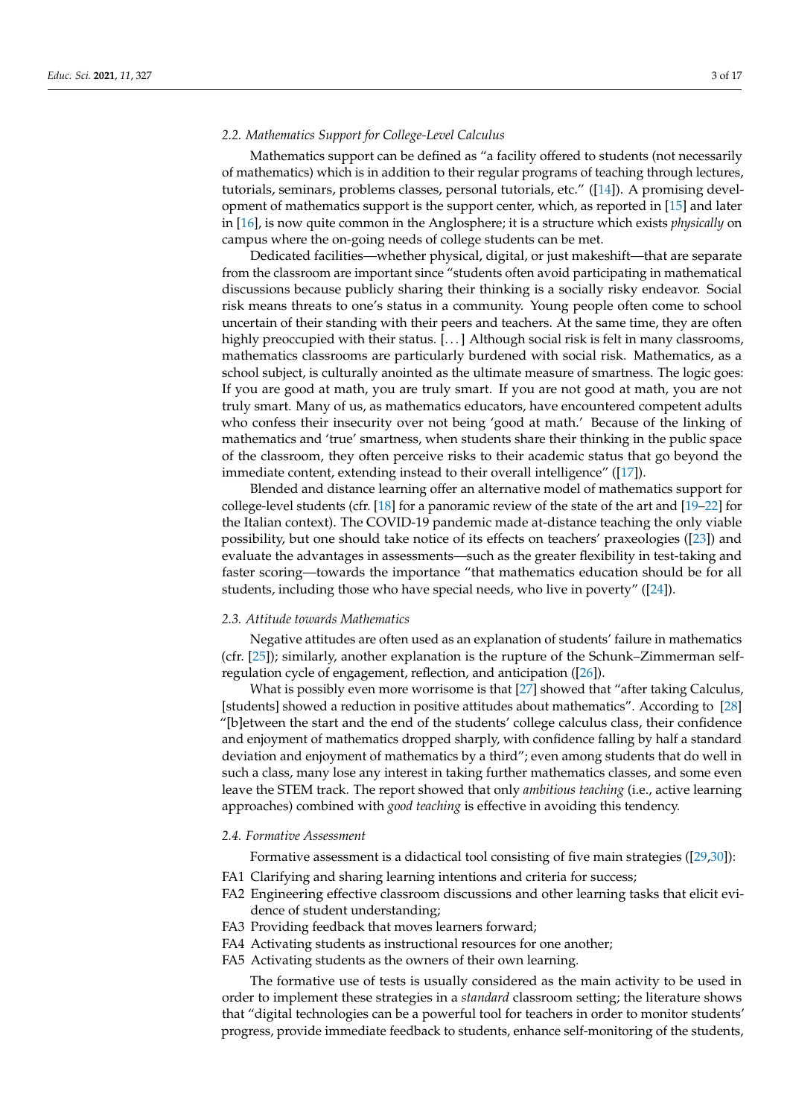# *2.2. Mathematics Support for College-Level Calculus*

Mathematics support can be defined as "a facility offered to students (not necessarily of mathematics) which is in addition to their regular programs of teaching through lectures, tutorials, seminars, problems classes, personal tutorials, etc." ([\[14\]](#page-16-1)). A promising development of mathematics support is the support center, which, as reported in [\[15\]](#page-16-2) and later in [\[16\]](#page-16-3), is now quite common in the Anglosphere; it is a structure which exists *physically* on campus where the on-going needs of college students can be met.

Dedicated facilities—whether physical, digital, or just makeshift—that are separate from the classroom are important since "students often avoid participating in mathematical discussions because publicly sharing their thinking is a socially risky endeavor. Social risk means threats to one's status in a community. Young people often come to school uncertain of their standing with their peers and teachers. At the same time, they are often highly preoccupied with their status. [...] Although social risk is felt in many classrooms, mathematics classrooms are particularly burdened with social risk. Mathematics, as a school subject, is culturally anointed as the ultimate measure of smartness. The logic goes: If you are good at math, you are truly smart. If you are not good at math, you are not truly smart. Many of us, as mathematics educators, have encountered competent adults who confess their insecurity over not being 'good at math.' Because of the linking of mathematics and 'true' smartness, when students share their thinking in the public space of the classroom, they often perceive risks to their academic status that go beyond the immediate content, extending instead to their overall intelligence" ([\[17\]](#page-16-4)).

Blended and distance learning offer an alternative model of mathematics support for college-level students (cfr. [\[18\]](#page-16-5) for a panoramic review of the state of the art and [\[19–](#page-16-6)[22\]](#page-16-7) for the Italian context). The COVID-19 pandemic made at-distance teaching the only viable possibility, but one should take notice of its effects on teachers' praxeologies ([\[23\]](#page-16-8)) and evaluate the advantages in assessments—such as the greater flexibility in test-taking and faster scoring—towards the importance "that mathematics education should be for all students, including those who have special needs, who live in poverty" ([\[24\]](#page-16-9)).

#### *2.3. Attitude towards Mathematics*

Negative attitudes are often used as an explanation of students' failure in mathematics (cfr. [\[25\]](#page-16-10)); similarly, another explanation is the rupture of the Schunk–Zimmerman selfregulation cycle of engagement, reflection, and anticipation ([\[26\]](#page-16-11)).

What is possibly even more worrisome is that [\[27\]](#page-16-12) showed that "after taking Calculus, [students] showed a reduction in positive attitudes about mathematics". According to [\[28\]](#page-16-13) "[b]etween the start and the end of the students' college calculus class, their confidence and enjoyment of mathematics dropped sharply, with confidence falling by half a standard deviation and enjoyment of mathematics by a third"; even among students that do well in such a class, many lose any interest in taking further mathematics classes, and some even leave the STEM track. The report showed that only *ambitious teaching* (i.e., active learning approaches) combined with *good teaching* is effective in avoiding this tendency.

#### *2.4. Formative Assessment*

Formative assessment is a didactical tool consisting of five main strategies ([\[29,](#page-16-14)[30\]](#page-16-15)):

- FA1 Clarifying and sharing learning intentions and criteria for success;
- FA2 Engineering effective classroom discussions and other learning tasks that elicit evidence of student understanding;
- FA3 Providing feedback that moves learners forward;
- FA4 Activating students as instructional resources for one another;
- FA5 Activating students as the owners of their own learning.

The formative use of tests is usually considered as the main activity to be used in order to implement these strategies in a *standard* classroom setting; the literature shows that "digital technologies can be a powerful tool for teachers in order to monitor students' progress, provide immediate feedback to students, enhance self-monitoring of the students,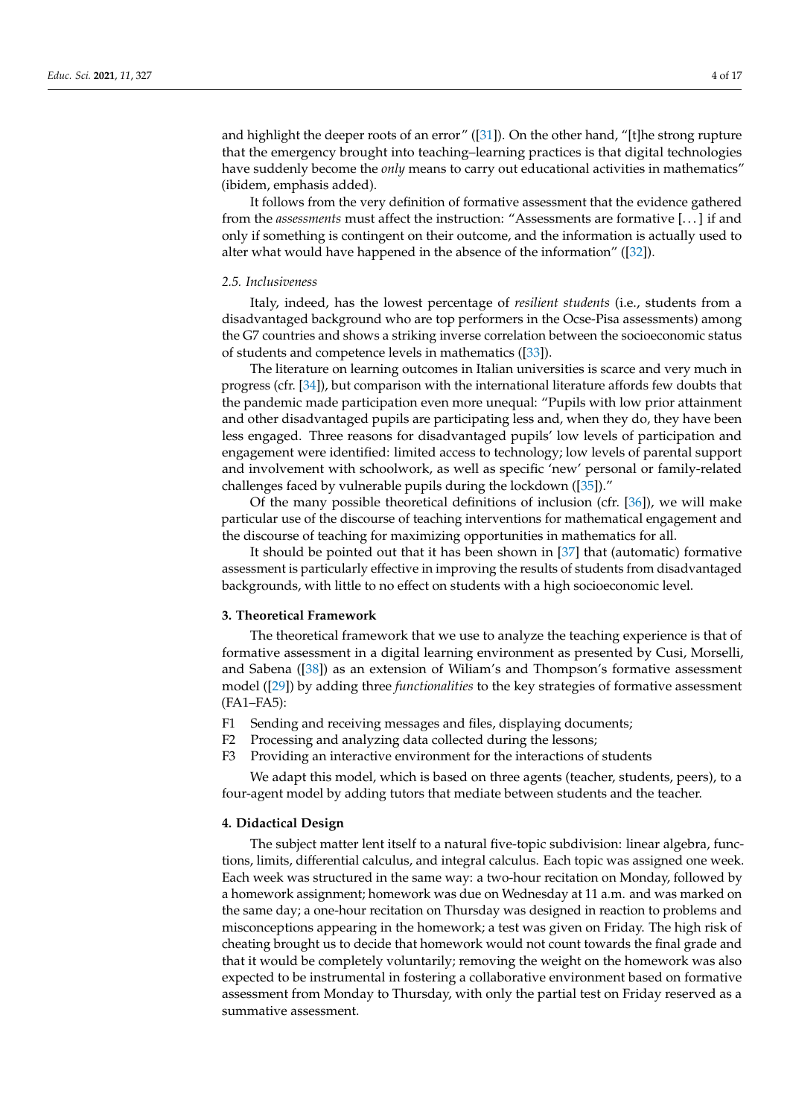and highlight the deeper roots of an error" ([\[31\]](#page-16-16)). On the other hand, "[t]he strong rupture that the emergency brought into teaching–learning practices is that digital technologies have suddenly become the *only* means to carry out educational activities in mathematics" (ibidem, emphasis added).

It follows from the very definition of formative assessment that the evidence gathered from the *assessments* must affect the instruction: "Assessments are formative [. . . ] if and only if something is contingent on their outcome, and the information is actually used to alter what would have happened in the absence of the information" ([\[32\]](#page-16-17)).

#### *2.5. Inclusiveness*

Italy, indeed, has the lowest percentage of *resilient students* (i.e., students from a disadvantaged background who are top performers in the Ocse-Pisa assessments) among the G7 countries and shows a striking inverse correlation between the socioeconomic status of students and competence levels in mathematics ([\[33\]](#page-16-18)).

The literature on learning outcomes in Italian universities is scarce and very much in progress (cfr. [\[34\]](#page-16-19)), but comparison with the international literature affords few doubts that the pandemic made participation even more unequal: "Pupils with low prior attainment and other disadvantaged pupils are participating less and, when they do, they have been less engaged. Three reasons for disadvantaged pupils' low levels of participation and engagement were identified: limited access to technology; low levels of parental support and involvement with schoolwork, as well as specific 'new' personal or family-related challenges faced by vulnerable pupils during the lockdown ([\[35\]](#page-16-20))."

Of the many possible theoretical definitions of inclusion (cfr. [\[36\]](#page-16-21)), we will make particular use of the discourse of teaching interventions for mathematical engagement and the discourse of teaching for maximizing opportunities in mathematics for all.

It should be pointed out that it has been shown in [\[37\]](#page-16-22) that (automatic) formative assessment is particularly effective in improving the results of students from disadvantaged backgrounds, with little to no effect on students with a high socioeconomic level.

# **3. Theoretical Framework**

The theoretical framework that we use to analyze the teaching experience is that of formative assessment in a digital learning environment as presented by Cusi, Morselli, and Sabena ([\[38\]](#page-16-23)) as an extension of Wiliam's and Thompson's formative assessment model ([\[29\]](#page-16-14)) by adding three *functionalities* to the key strategies of formative assessment (FA1–FA5):

- F1 Sending and receiving messages and files, displaying documents;
- F2 Processing and analyzing data collected during the lessons;
- F3 Providing an interactive environment for the interactions of students

We adapt this model, which is based on three agents (teacher, students, peers), to a four-agent model by adding tutors that mediate between students and the teacher.

# **4. Didactical Design**

The subject matter lent itself to a natural five-topic subdivision: linear algebra, functions, limits, differential calculus, and integral calculus. Each topic was assigned one week. Each week was structured in the same way: a two-hour recitation on Monday, followed by a homework assignment; homework was due on Wednesday at 11 a.m. and was marked on the same day; a one-hour recitation on Thursday was designed in reaction to problems and misconceptions appearing in the homework; a test was given on Friday. The high risk of cheating brought us to decide that homework would not count towards the final grade and that it would be completely voluntarily; removing the weight on the homework was also expected to be instrumental in fostering a collaborative environment based on formative assessment from Monday to Thursday, with only the partial test on Friday reserved as a summative assessment.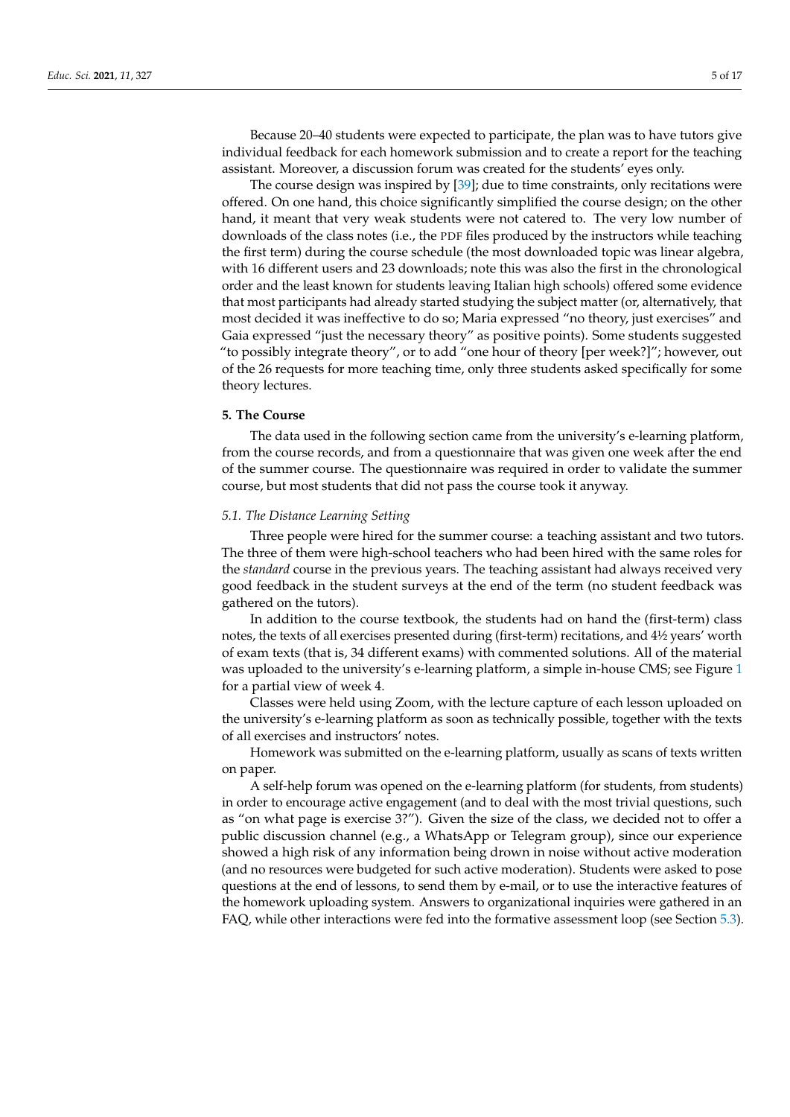Because 20–40 students were expected to participate, the plan was to have tutors give individual feedback for each homework submission and to create a report for the teaching assistant. Moreover, a discussion forum was created for the students' eyes only.

The course design was inspired by [\[39\]](#page-16-24); due to time constraints, only recitations were offered. On one hand, this choice significantly simplified the course design; on the other hand, it meant that very weak students were not catered to. The very low number of downloads of the class notes (i.e., the PDF files produced by the instructors while teaching the first term) during the course schedule (the most downloaded topic was linear algebra, with 16 different users and 23 downloads; note this was also the first in the chronological order and the least known for students leaving Italian high schools) offered some evidence that most participants had already started studying the subject matter (or, alternatively, that most decided it was ineffective to do so; Maria expressed "no theory, just exercises" and Gaia expressed "just the necessary theory" as positive points). Some students suggested "to possibly integrate theory", or to add "one hour of theory [per week?]"; however, out of the 26 requests for more teaching time, only three students asked specifically for some theory lectures.

#### **5. The Course**

The data used in the following section came from the university's e-learning platform, from the course records, and from a questionnaire that was given one week after the end of the summer course. The questionnaire was required in order to validate the summer course, but most students that did not pass the course took it anyway.

# *5.1. The Distance Learning Setting*

Three people were hired for the summer course: a teaching assistant and two tutors. The three of them were high-school teachers who had been hired with the same roles for the *standard* course in the previous years. The teaching assistant had always received very good feedback in the student surveys at the end of the term (no student feedback was gathered on the tutors).

In addition to the course textbook, the students had on hand the (first-term) class notes, the texts of all exercises presented during (first-term) recitations, and 4½ years' worth of exam texts (that is, 34 different exams) with commented solutions. All of the material was uploaded to the university's e-learning platform, a simple in-house CMS; see Figure [1](#page-5-0) for a partial view of week 4.

Classes were held using Zoom, with the lecture capture of each lesson uploaded on the university's e-learning platform as soon as technically possible, together with the texts of all exercises and instructors' notes.

Homework was submitted on the e-learning platform, usually as scans of texts written on paper.

A self-help forum was opened on the e-learning platform (for students, from students) in order to encourage active engagement (and to deal with the most trivial questions, such as "on what page is exercise 3?"). Given the size of the class, we decided not to offer a public discussion channel (e.g., a WhatsApp or Telegram group), since our experience showed a high risk of any information being drown in noise without active moderation (and no resources were budgeted for such active moderation). Students were asked to pose questions at the end of lessons, to send them by e-mail, or to use the interactive features of the homework uploading system. Answers to organizational inquiries were gathered in an FAQ, while other interactions were fed into the formative assessment loop (see Section [5.3\)](#page-5-1).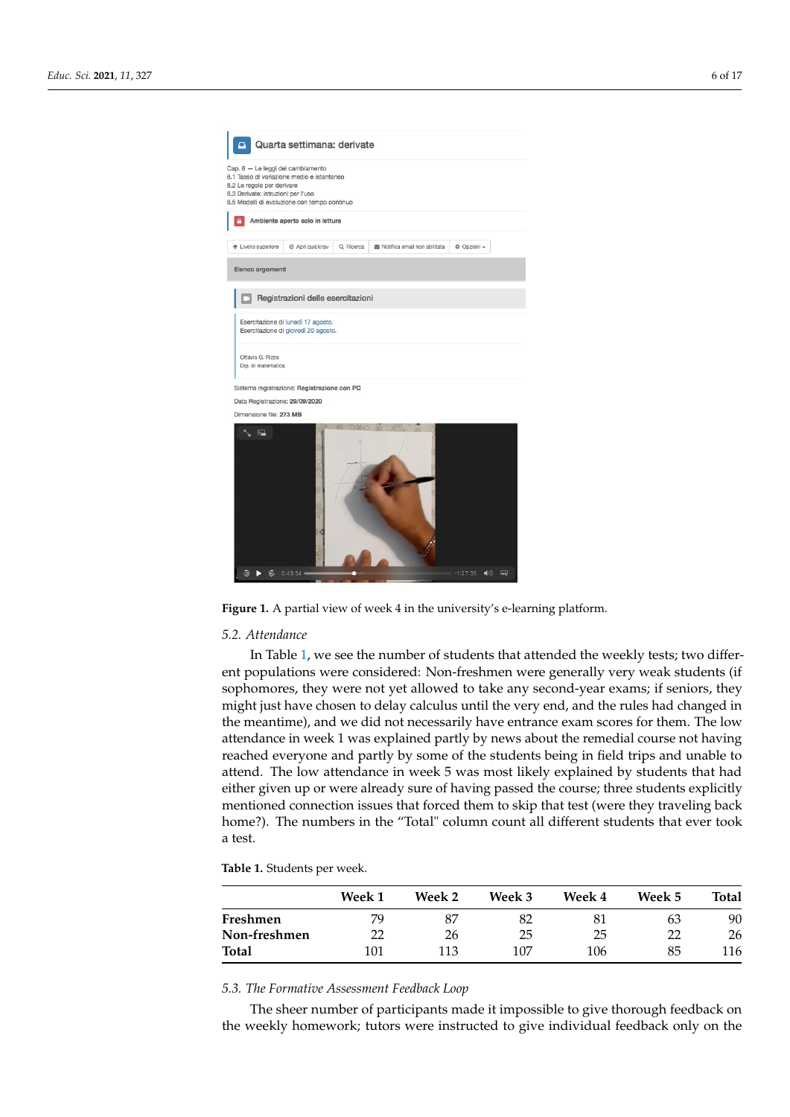<span id="page-5-0"></span>

Figure 1. A partial view of week 4 in the university's e-learning platform.

#### *5.2. Attendance*

In Table [1,](#page-5-2) we see the number of students that attended the weekly tests; two different populations were considered: Non-freshmen were generally very weak students (if sophomores, they were not yet allowed to take any second-year exams; if seniors, they might just have chosen to delay calculus until the very end, and the rules had changed in the meantime), and we did not necessarily have entrance exam scores for them. The low attendance in week 1 was explained partly by news about the remedial course not having reached everyone and partly by some of the students being in field trips and unable to attend. The low attendance in week 5 was most likely explained by students that had either given up or were already sure of having passed the course; three students explicitly mentioned connection issues that forced them to skip that test (were they traveling back home?). The numbers in the "Total" column count all different students that ever took a test.

<span id="page-5-2"></span>**Table 1.** Students per week.

|              | Week 1 | Week 2 | Week 3 | Week 4 | Week 5 | Total |
|--------------|--------|--------|--------|--------|--------|-------|
| Freshmen     | 79     | 87     | 82     | 81     | 63     | 90    |
| Non-freshmen | 22     | 26     | 25     | 25     | າາ     | 26    |
| Total        | 101    | 113    | 107    | 106    | 85     | 116   |

#### <span id="page-5-1"></span>*5.3. The Formative Assessment Feedback Loop*

The sheer number of participants made it impossible to give thorough feedback on the weekly homework; tutors were instructed to give individual feedback only on the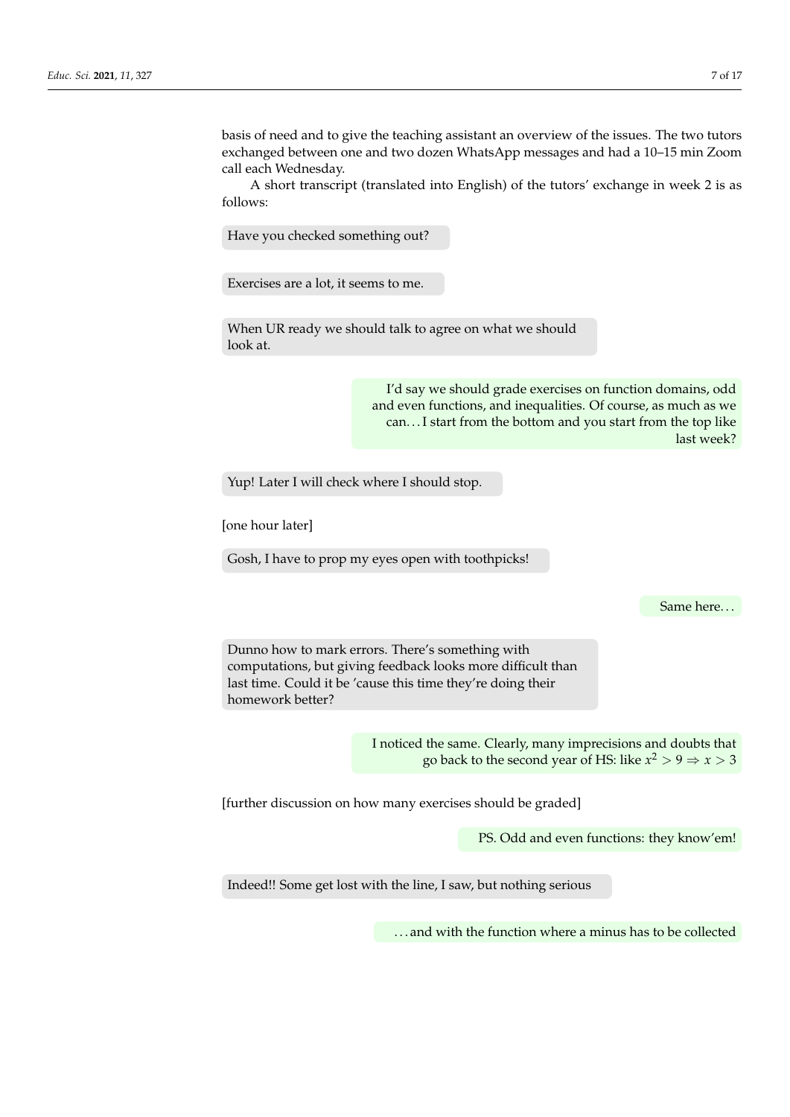basis of need and to give the teaching assistant an overview of the issues. The two tutors exchanged between one and two dozen WhatsApp messages and had a 10–15 min Zoom call each Wednesday.

A short transcript (translated into English) of the tutors' exchange in week 2 is as follows:

Have you checked something out?

Exercises are a lot, it seems to me.

When UR ready we should talk to agree on what we should look at.

> I'd say we should grade exercises on function domains, odd and even functions, and inequalities. Of course, as much as we can. . . I start from the bottom and you start from the top like last week?

Yup! Later I will check where I should stop.

[one hour later]

Gosh, I have to prop my eyes open with toothpicks!

Same here. . .

Dunno how to mark errors. There's something with computations, but giving feedback looks more difficult than last time. Could it be 'cause this time they're doing their homework better?

> I noticed the same. Clearly, many imprecisions and doubts that go back to the second year of HS: like  $x^2 > 9 \Rightarrow x > 3$

[further discussion on how many exercises should be graded]

PS. Odd and even functions: they know'em!

Indeed!! Some get lost with the line, I saw, but nothing serious

. . . and with the function where a minus has to be collected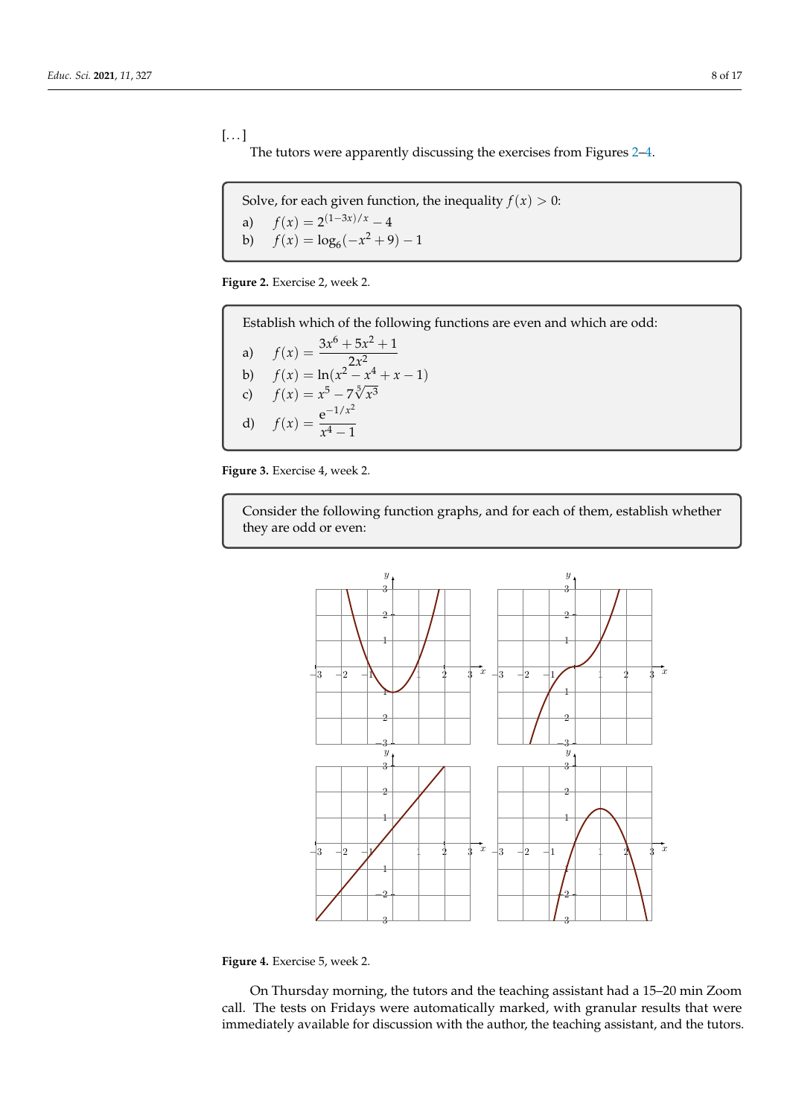$[\dots]$ The tutors were apparently discussing the exercises from Figures [2](#page-7-0)[–4.](#page-7-1)

<span id="page-7-0"></span>Solve, for each given function, the inequality  $f(x) > 0$ : a)  $f(x) = 2^{(1-3x)/x} - 4$ b)  $f(x) = \log_6(-x^2 + 9) - 1$ 

**Figure 2.** Exercise 2, week 2.

Establish which of the following functions are even and which are odd:

a) 
$$
f(x) = \frac{3x^6 + 5x^2 + 1}{2x^2}
$$
  
\nb)  $f(x) = \ln(x^2 - x^4 + x - 1)$   
\nc)  $f(x) = x^5 - 7\sqrt[5]{x^3}$   
\nd)  $f(x) = \frac{e^{-1/x^2}}{x^4 - 1}$ 

<span id="page-7-1"></span>**Figure 3.** Exercise 4, week 2.

Consider the following function graphs, and for each of them, establish whether they are odd or even:



**Figure 4.** Exercise 5, week 2.

On Thursday morning, the tutors and the teaching assistant had a 15–20 min Zoom call. The tests on Fridays were automatically marked, with granular results that were immediately available for discussion with the author, the teaching assistant, and the tutors.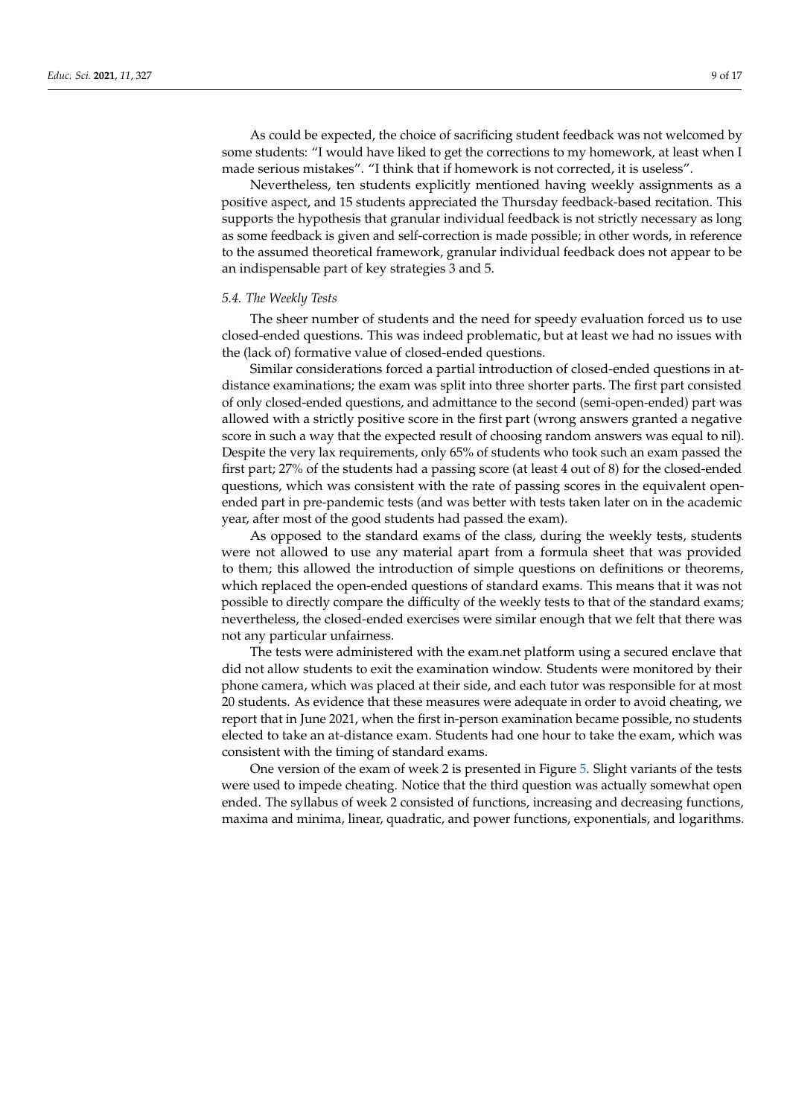As could be expected, the choice of sacrificing student feedback was not welcomed by some students: "I would have liked to get the corrections to my homework, at least when I made serious mistakes". "I think that if homework is not corrected, it is useless".

Nevertheless, ten students explicitly mentioned having weekly assignments as a positive aspect, and 15 students appreciated the Thursday feedback-based recitation. This supports the hypothesis that granular individual feedback is not strictly necessary as long as some feedback is given and self-correction is made possible; in other words, in reference to the assumed theoretical framework, granular individual feedback does not appear to be an indispensable part of key strategies 3 and 5.

#### *5.4. The Weekly Tests*

The sheer number of students and the need for speedy evaluation forced us to use closed-ended questions. This was indeed problematic, but at least we had no issues with the (lack of) formative value of closed-ended questions.

Similar considerations forced a partial introduction of closed-ended questions in atdistance examinations; the exam was split into three shorter parts. The first part consisted of only closed-ended questions, and admittance to the second (semi-open-ended) part was allowed with a strictly positive score in the first part (wrong answers granted a negative score in such a way that the expected result of choosing random answers was equal to nil). Despite the very lax requirements, only 65% of students who took such an exam passed the first part; 27% of the students had a passing score (at least 4 out of 8) for the closed-ended questions, which was consistent with the rate of passing scores in the equivalent openended part in pre-pandemic tests (and was better with tests taken later on in the academic year, after most of the good students had passed the exam).

As opposed to the standard exams of the class, during the weekly tests, students were not allowed to use any material apart from a formula sheet that was provided to them; this allowed the introduction of simple questions on definitions or theorems, which replaced the open-ended questions of standard exams. This means that it was not possible to directly compare the difficulty of the weekly tests to that of the standard exams; nevertheless, the closed-ended exercises were similar enough that we felt that there was not any particular unfairness.

The tests were administered with the exam.net platform using a secured enclave that did not allow students to exit the examination window. Students were monitored by their phone camera, which was placed at their side, and each tutor was responsible for at most 20 students. As evidence that these measures were adequate in order to avoid cheating, we report that in June 2021, when the first in-person examination became possible, no students elected to take an at-distance exam. Students had one hour to take the exam, which was consistent with the timing of standard exams.

One version of the exam of week 2 is presented in Figure [5.](#page-9-0) Slight variants of the tests were used to impede cheating. Notice that the third question was actually somewhat open ended. The syllabus of week 2 consisted of functions, increasing and decreasing functions, maxima and minima, linear, quadratic, and power functions, exponentials, and logarithms.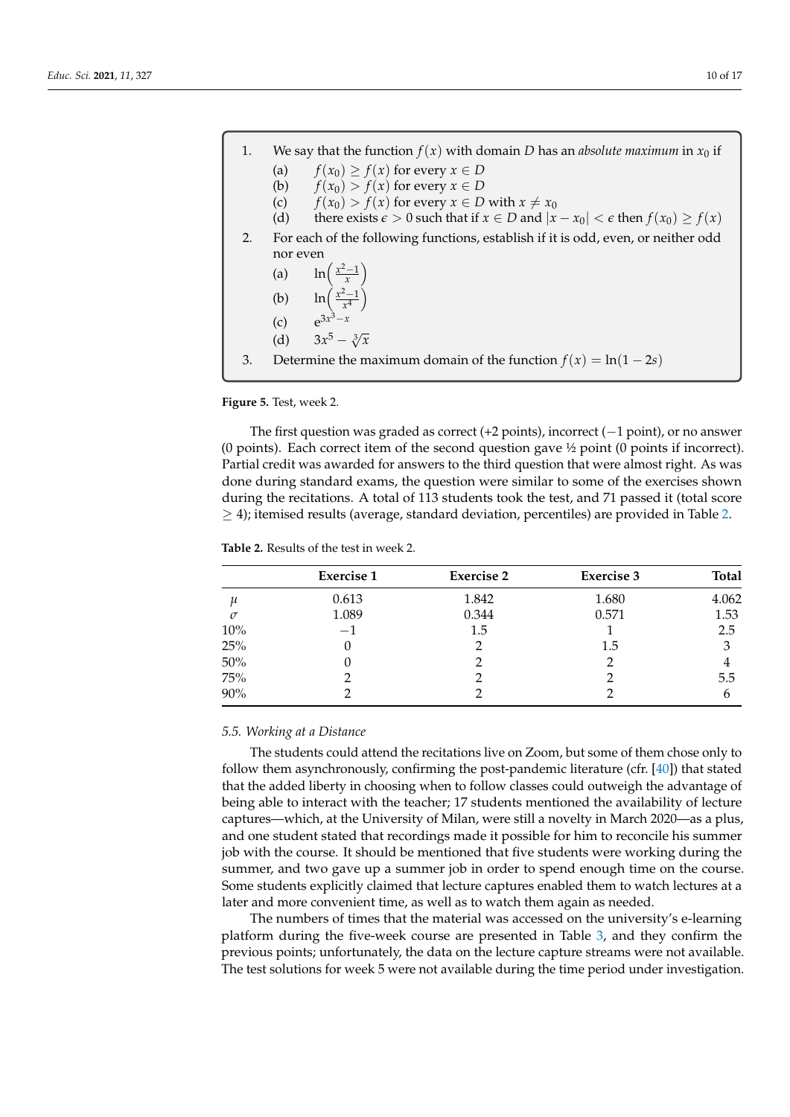<span id="page-9-0"></span>

| 1. |          | We say that the function $f(x)$ with domain D has an <i>absolute maximum</i> in $x_0$ if             |
|----|----------|------------------------------------------------------------------------------------------------------|
|    | (a)      | $f(x_0) \geq f(x)$ for every $x \in D$                                                               |
|    | (b)      | $f(x_0) > f(x)$ for every $x \in D$                                                                  |
|    | (c)      | $f(x_0) > f(x)$ for every $x \in D$ with $x \neq x_0$                                                |
|    | (d)      | there exists $\epsilon > 0$ such that if $x \in D$ and $ x - x_0  < \epsilon$ then $f(x_0) \ge f(x)$ |
| 2. |          | For each of the following functions, establish if it is odd, even, or neither odd                    |
|    | nor even |                                                                                                      |
|    |          | (a) $\ln\left(\frac{x^2-1}{x}\right)$                                                                |
|    |          | (b) $\ln\left(\frac{x^2-1}{x^4}\right)$<br>(c) $e^{3x^3-x}$                                          |
|    |          |                                                                                                      |
|    | (d)      | $3x^5 - \sqrt[3]{x}$                                                                                 |
| 3. |          | Determine the maximum domain of the function $f(x) = \ln(1-2s)$                                      |

**Figure 5.** Test, week 2.

The first question was graded as correct (+2 points), incorrect ( $-1$  point), or no answer (0 points). Each correct item of the second question gave ½ point (0 points if incorrect). Partial credit was awarded for answers to the third question that were almost right. As was done during standard exams, the question were similar to some of the exercises shown during the recitations. A total of 113 students took the test, and 71 passed it (total score  $\geq$  4); itemised results (average, standard deviation, percentiles) are provided in Table [2.](#page-9-1)

<span id="page-9-1"></span>

| <b>Table 2.</b> Results of the test in week 2. |  |
|------------------------------------------------|--|
|------------------------------------------------|--|

|                    | <b>Exercise 1</b> | <b>Exercise 2</b> | <b>Exercise 3</b> | <b>Total</b> |
|--------------------|-------------------|-------------------|-------------------|--------------|
| $\boldsymbol{\mu}$ | 0.613             | 1.842             | 1.680             | 4.062        |
| $\sigma$           | 1.089             | 0.344             | 0.571             | 1.53         |
| 10%                | $-1$              | 1.5               |                   | 2.5          |
| 25%                |                   |                   | 1.5               | 3            |
| 50%                |                   |                   | 2                 |              |
| 75%                |                   |                   |                   | 5.5          |
| 90%                |                   |                   |                   | 6            |

#### *5.5. Working at a Distance*

The students could attend the recitations live on Zoom, but some of them chose only to follow them asynchronously, confirming the post-pandemic literature (cfr. [\[40\]](#page-16-25)) that stated that the added liberty in choosing when to follow classes could outweigh the advantage of being able to interact with the teacher; 17 students mentioned the availability of lecture captures—which, at the University of Milan, were still a novelty in March 2020—as a plus, and one student stated that recordings made it possible for him to reconcile his summer job with the course. It should be mentioned that five students were working during the summer, and two gave up a summer job in order to spend enough time on the course. Some students explicitly claimed that lecture captures enabled them to watch lectures at a later and more convenient time, as well as to watch them again as needed.

The numbers of times that the material was accessed on the university's e-learning platform during the five-week course are presented in Table [3,](#page-10-0) and they confirm the previous points; unfortunately, the data on the lecture capture streams were not available. The test solutions for week 5 were not available during the time period under investigation.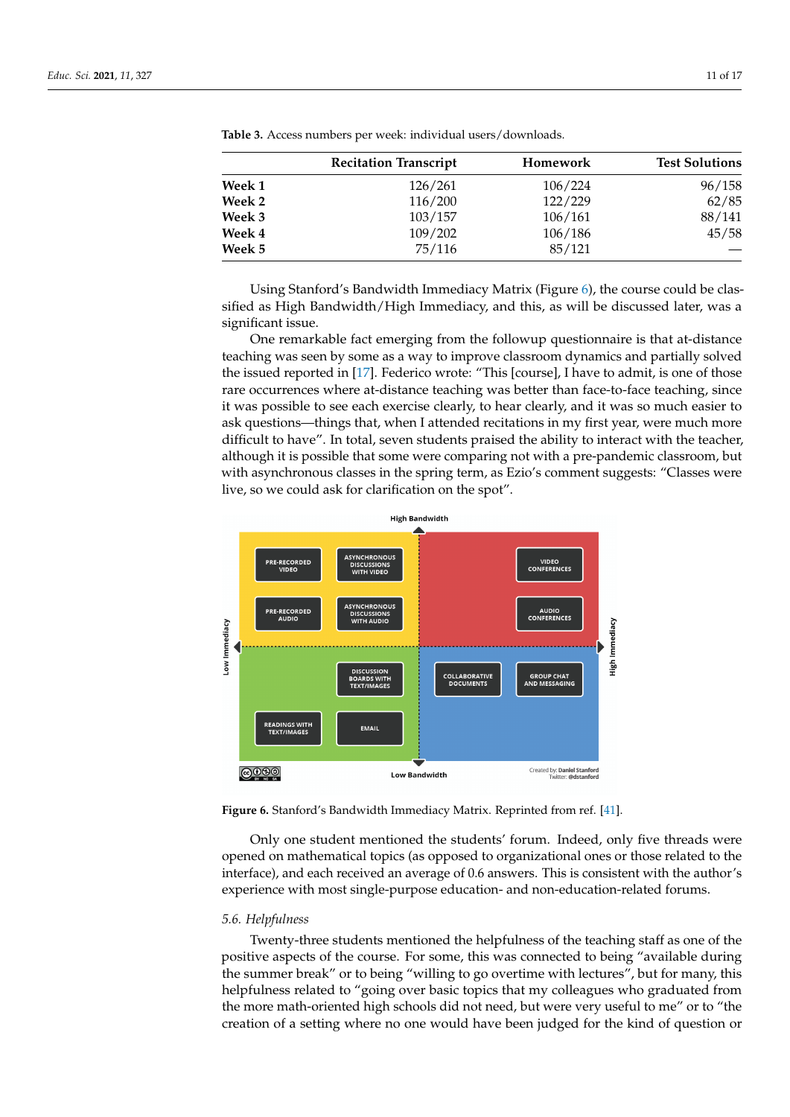|        | <b>Recitation Transcript</b> | <b>Homework</b> | <b>Test Solutions</b> |
|--------|------------------------------|-----------------|-----------------------|
| Week 1 | 126/261                      | 106/224         | 96/158                |
| Week 2 | 116/200                      | 122/229         | 62/85                 |
| Week 3 | 103/157                      | 106/161         | 88/141                |
| Week 4 | 109/202                      | 106/186         | 45/58                 |
| Week 5 | 75/116                       | 85/121          |                       |

<span id="page-10-0"></span>**Table 3.** Access numbers per week: individual users/downloads.

Using Stanford's Bandwidth Immediacy Matrix (Figure [6\)](#page-10-1), the course could be classified as High Bandwidth/High Immediacy, and this, as will be discussed later, was a significant issue.

One remarkable fact emerging from the followup questionnaire is that at-distance teaching was seen by some as a way to improve classroom dynamics and partially solved the issued reported in [\[17\]](#page-16-4). Federico wrote: "This [course], I have to admit, is one of those rare occurrences where at-distance teaching was better than face-to-face teaching, since it was possible to see each exercise clearly, to hear clearly, and it was so much easier to ask questions—things that, when I attended recitations in my first year, were much more difficult to have". In total, seven students praised the ability to interact with the teacher, although it is possible that some were comparing not with a pre-pandemic classroom, but with asynchronous classes in the spring term, as Ezio's comment suggests: "Classes were live, so we could ask for clarification on the spot".

<span id="page-10-1"></span>

**Figure 6.** Stanford's Bandwidth Immediacy Matrix. Reprinted from ref. [\[41\]](#page-16-26).

Only one student mentioned the students' forum. Indeed, only five threads were opened on mathematical topics (as opposed to organizational ones or those related to the interface), and each received an average of 0.6 answers. This is consistent with the author's experience with most single-purpose education- and non-education-related forums.

# *5.6. Helpfulness*

Twenty-three students mentioned the helpfulness of the teaching staff as one of the positive aspects of the course. For some, this was connected to being "available during the summer break" or to being "willing to go overtime with lectures", but for many, this helpfulness related to "going over basic topics that my colleagues who graduated from the more math-oriented high schools did not need, but were very useful to me" or to "the creation of a setting where no one would have been judged for the kind of question or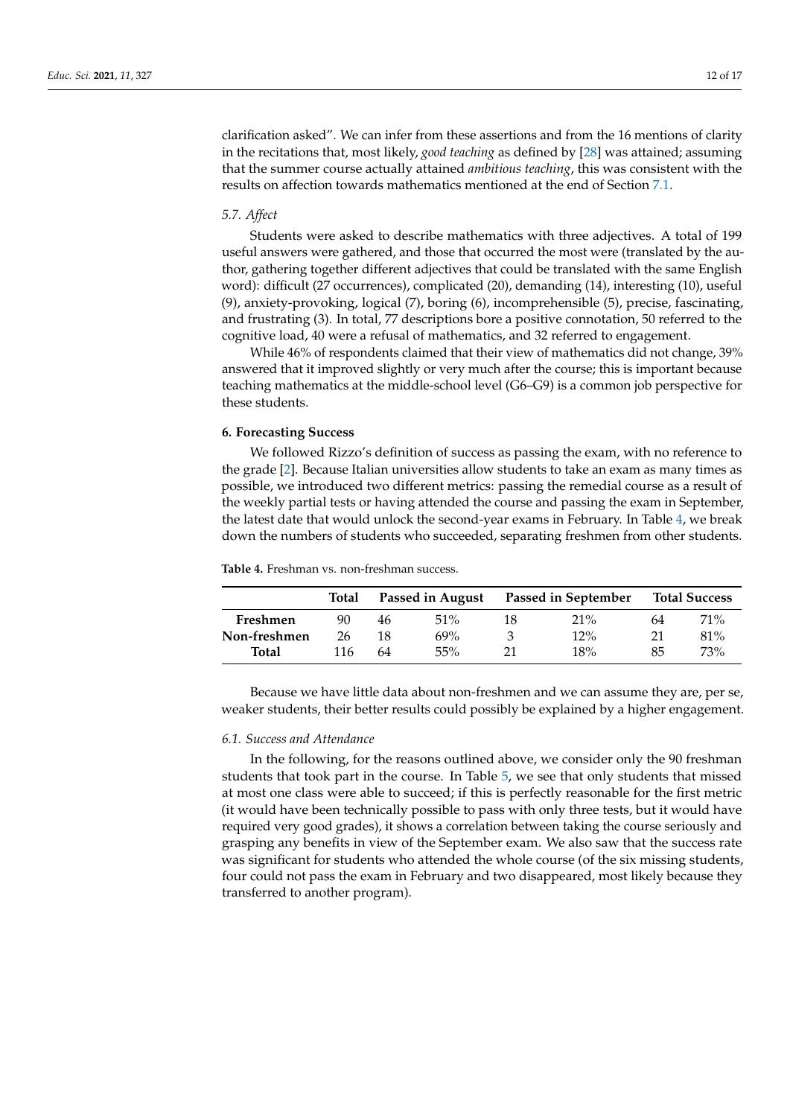clarification asked". We can infer from these assertions and from the 16 mentions of clarity in the recitations that, most likely, *good teaching* as defined by [\[28\]](#page-16-13) was attained; assuming that the summer course actually attained *ambitious teaching*, this was consistent with the results on affection towards mathematics mentioned at the end of Section [7.1.](#page-13-0)

# *5.7. Affect*

Students were asked to describe mathematics with three adjectives. A total of 199 useful answers were gathered, and those that occurred the most were (translated by the author, gathering together different adjectives that could be translated with the same English word): difficult (27 occurrences), complicated (20), demanding (14), interesting (10), useful (9), anxiety-provoking, logical (7), boring (6), incomprehensible (5), precise, fascinating, and frustrating (3). In total, 77 descriptions bore a positive connotation, 50 referred to the cognitive load, 40 were a refusal of mathematics, and 32 referred to engagement.

While 46% of respondents claimed that their view of mathematics did not change, 39% answered that it improved slightly or very much after the course; this is important because teaching mathematics at the middle-school level (G6–G9) is a common job perspective for these students.

# **6. Forecasting Success**

We followed Rizzo's definition of success as passing the exam, with no reference to the grade [\[2\]](#page-15-1). Because Italian universities allow students to take an exam as many times as possible, we introduced two different metrics: passing the remedial course as a result of the weekly partial tests or having attended the course and passing the exam in September, the latest date that would unlock the second-year exams in February. In Table [4,](#page-11-0) we break down the numbers of students who succeeded, separating freshmen from other students.

|              | Total |    | Passed in August |    | Passed in September |    | <b>Total Success</b> |
|--------------|-------|----|------------------|----|---------------------|----|----------------------|
| Freshmen     | 90    | 46 | 51%              | 18 | $21\%$              | 64 | 71\%                 |
| Non-freshmen | 26    | 18 | 69%              |    | 12%                 | 21 | $81\%$               |
| <b>Total</b> | 116   | 64 | 55%              | 21 | 18%                 | 85 | 73%                  |

<span id="page-11-0"></span>**Table 4.** Freshman vs. non-freshman success.

Because we have little data about non-freshmen and we can assume they are, per se, weaker students, their better results could possibly be explained by a higher engagement.

#### *6.1. Success and Attendance*

In the following, for the reasons outlined above, we consider only the 90 freshman students that took part in the course. In Table [5,](#page-12-0) we see that only students that missed at most one class were able to succeed; if this is perfectly reasonable for the first metric (it would have been technically possible to pass with only three tests, but it would have required very good grades), it shows a correlation between taking the course seriously and grasping any benefits in view of the September exam. We also saw that the success rate was significant for students who attended the whole course (of the six missing students, four could not pass the exam in February and two disappeared, most likely because they transferred to another program).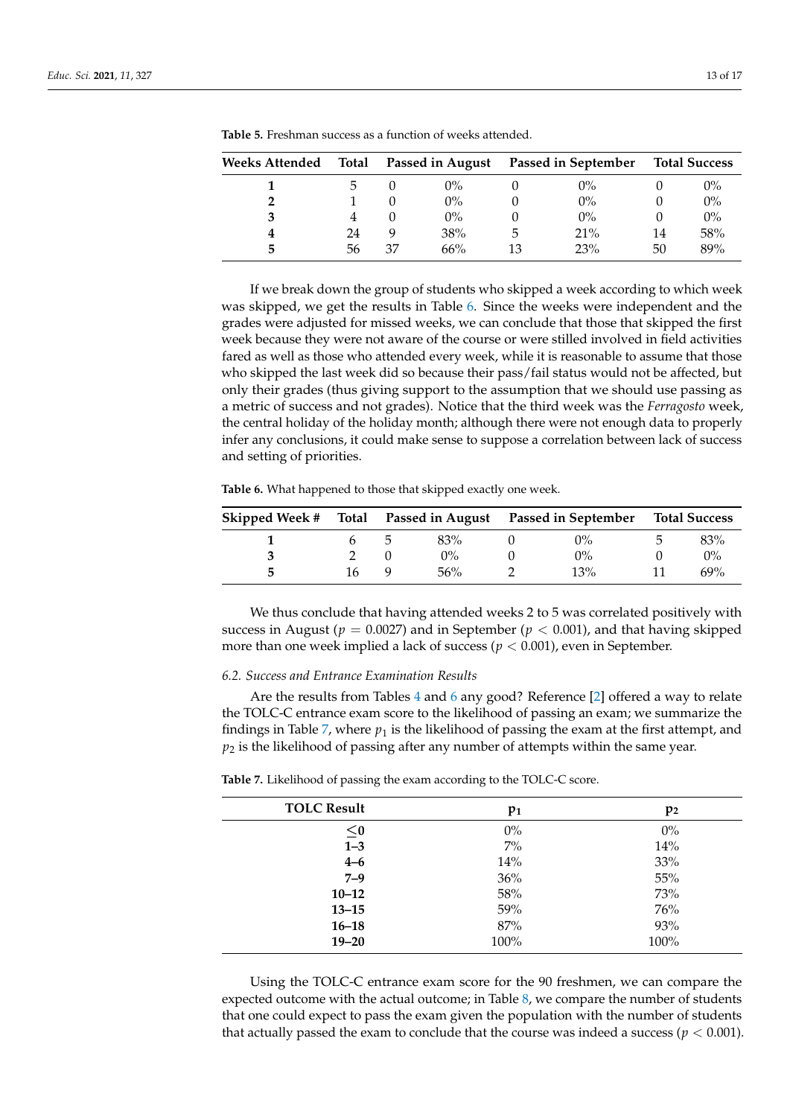| Weeks Attended | Total |    |       |    | Passed in August Passed in September |    | <b>Total Success</b> |
|----------------|-------|----|-------|----|--------------------------------------|----|----------------------|
|                |       |    | $0\%$ |    | $0\%$                                |    | $0\%$                |
|                |       |    | $0\%$ |    | $0\%$                                |    | $0\%$                |
| 3              |       |    | $0\%$ |    | $0\%$                                |    | $0\%$                |
| 4              | 24    |    | 38%   | 5  | 21%                                  | 14 | 58%                  |
| 5              | 56    | 37 | 66%   | 13 | 23%                                  | 50 | 89%                  |

<span id="page-12-0"></span>**Table 5.** Freshman success as a function of weeks attended.

If we break down the group of students who skipped a week according to which week was skipped, we get the results in Table [6.](#page-12-1) Since the weeks were independent and the grades were adjusted for missed weeks, we can conclude that those that skipped the first week because they were not aware of the course or were stilled involved in field activities fared as well as those who attended every week, while it is reasonable to assume that those who skipped the last week did so because their pass/fail status would not be affected, but only their grades (thus giving support to the assumption that we should use passing as a metric of success and not grades). Notice that the third week was the *Ferragosto* week, the central holiday of the holiday month; although there were not enough data to properly infer any conclusions, it could make sense to suppose a correlation between lack of success and setting of priorities.

<span id="page-12-1"></span>**Table 6.** What happened to those that skipped exactly one week.

| Skipped Week #<br>Total Passed in August |    |  | <b>Passed in September</b> |  | <b>Total Success</b> |  |       |
|------------------------------------------|----|--|----------------------------|--|----------------------|--|-------|
|                                          |    |  | 83%                        |  | $0\%$                |  | 83%   |
|                                          |    |  | $0\%$                      |  | $0\%$                |  | $0\%$ |
|                                          | 16 |  | 56%                        |  | 13%                  |  | 69%   |

We thus conclude that having attended weeks 2 to 5 was correlated positively with success in August ( $p = 0.0027$ ) and in September ( $p < 0.001$ ), and that having skipped more than one week implied a lack of success ( $p < 0.001$ ), even in September.

# *6.2. Success and Entrance Examination Results*

Are the results from Tables [4](#page-11-0) and [6](#page-12-1) any good? Reference [\[2\]](#page-15-1) offered a way to relate the TOLC-C entrance exam score to the likelihood of passing an exam; we summarize the findings in Table [7,](#page-12-2) where  $p_1$  is the likelihood of passing the exam at the first attempt, and *p*<sup>2</sup> is the likelihood of passing after any number of attempts within the same year.

<span id="page-12-2"></span>**Table 7.** Likelihood of passing the exam according to the TOLC-C score.

| <b>TOLC Result</b> | $p_1$ | p <sub>2</sub> |
|--------------------|-------|----------------|
| $\leq$ 0           | $0\%$ | $0\%$          |
| $1 - 3$            | $7\%$ | 14%            |
| $4 - 6$            | 14%   | 33%            |
| $7 - 9$            | 36%   | 55%            |
| $10 - 12$          | 58%   | 73%            |
| $13 - 15$          | 59%   | 76%            |
| $16 - 18$          | 87%   | 93%            |
| $19 - 20$          | 100%  | 100%           |

Using the TOLC-C entrance exam score for the 90 freshmen, we can compare the expected outcome with the actual outcome; in Table [8,](#page-13-1) we compare the number of students that one could expect to pass the exam given the population with the number of students that actually passed the exam to conclude that the course was indeed a success ( $p < 0.001$ ).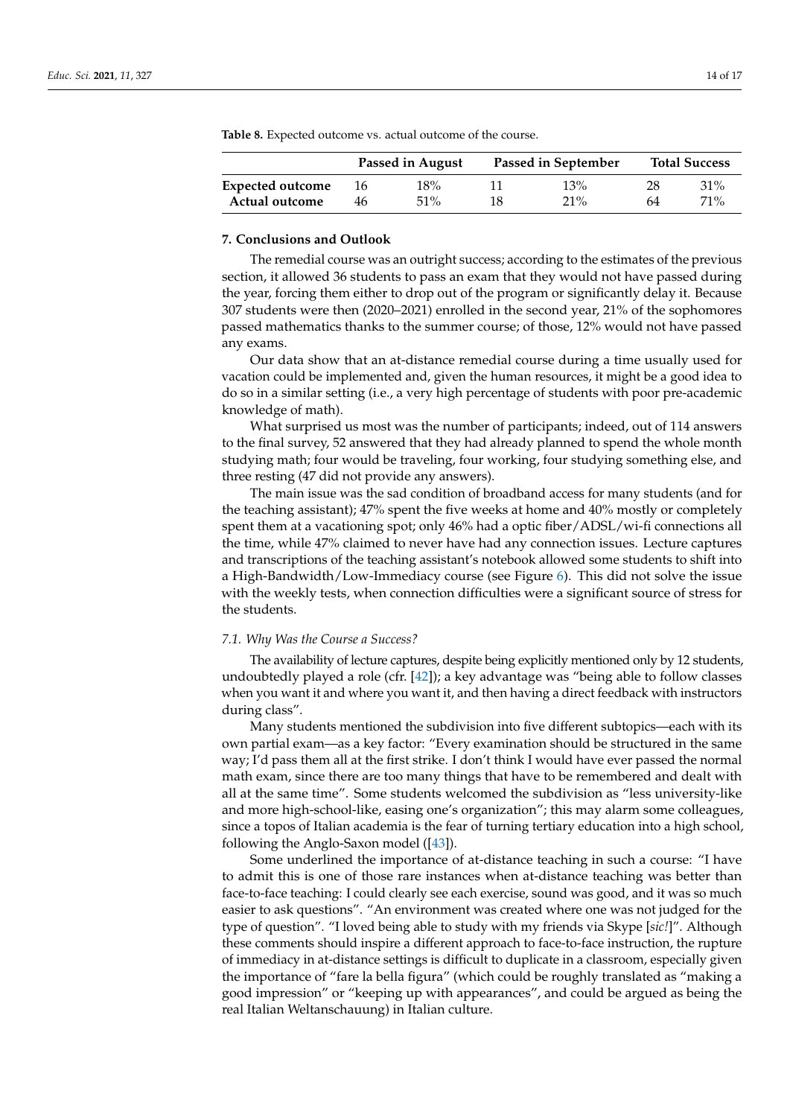|                  |    | Passed in August | Passed in September |        |    | <b>Total Success</b> |
|------------------|----|------------------|---------------------|--------|----|----------------------|
| Expected outcome | 16 | 18%              |                     | 13%    | 28 | $31\%$               |
| Actual outcome   | 46 | $51\%$           | 18                  | $21\%$ | 64 | $71\%$               |

<span id="page-13-1"></span>**Table 8.** Expected outcome vs. actual outcome of the course.

# **7. Conclusions and Outlook**

The remedial course was an outright success; according to the estimates of the previous section, it allowed 36 students to pass an exam that they would not have passed during the year, forcing them either to drop out of the program or significantly delay it. Because 307 students were then (2020–2021) enrolled in the second year, 21% of the sophomores passed mathematics thanks to the summer course; of those, 12% would not have passed any exams.

Our data show that an at-distance remedial course during a time usually used for vacation could be implemented and, given the human resources, it might be a good idea to do so in a similar setting (i.e., a very high percentage of students with poor pre-academic knowledge of math).

What surprised us most was the number of participants; indeed, out of 114 answers to the final survey, 52 answered that they had already planned to spend the whole month studying math; four would be traveling, four working, four studying something else, and three resting (47 did not provide any answers).

The main issue was the sad condition of broadband access for many students (and for the teaching assistant); 47% spent the five weeks at home and 40% mostly or completely spent them at a vacationing spot; only 46% had a optic fiber/ADSL/wi-fi connections all the time, while 47% claimed to never have had any connection issues. Lecture captures and transcriptions of the teaching assistant's notebook allowed some students to shift into a High-Bandwidth/Low-Immediacy course (see Figure [6\)](#page-10-1). This did not solve the issue with the weekly tests, when connection difficulties were a significant source of stress for the students.

#### <span id="page-13-0"></span>*7.1. Why Was the Course a Success?*

The availability of lecture captures, despite being explicitly mentioned only by 12 students, undoubtedly played a role (cfr. [\[42\]](#page-16-27)); a key advantage was "being able to follow classes when you want it and where you want it, and then having a direct feedback with instructors during class".

Many students mentioned the subdivision into five different subtopics—each with its own partial exam—as a key factor: "Every examination should be structured in the same way; I'd pass them all at the first strike. I don't think I would have ever passed the normal math exam, since there are too many things that have to be remembered and dealt with all at the same time". Some students welcomed the subdivision as "less university-like and more high-school-like, easing one's organization"; this may alarm some colleagues, since a topos of Italian academia is the fear of turning tertiary education into a high school, following the Anglo-Saxon model ([\[43\]](#page-16-28)).

Some underlined the importance of at-distance teaching in such a course: "I have to admit this is one of those rare instances when at-distance teaching was better than face-to-face teaching: I could clearly see each exercise, sound was good, and it was so much easier to ask questions". "An environment was created where one was not judged for the type of question". "I loved being able to study with my friends via Skype [*sic!*]". Although these comments should inspire a different approach to face-to-face instruction, the rupture of immediacy in at-distance settings is difficult to duplicate in a classroom, especially given the importance of "fare la bella figura" (which could be roughly translated as "making a good impression" or "keeping up with appearances", and could be argued as being the real Italian Weltanschauung) in Italian culture.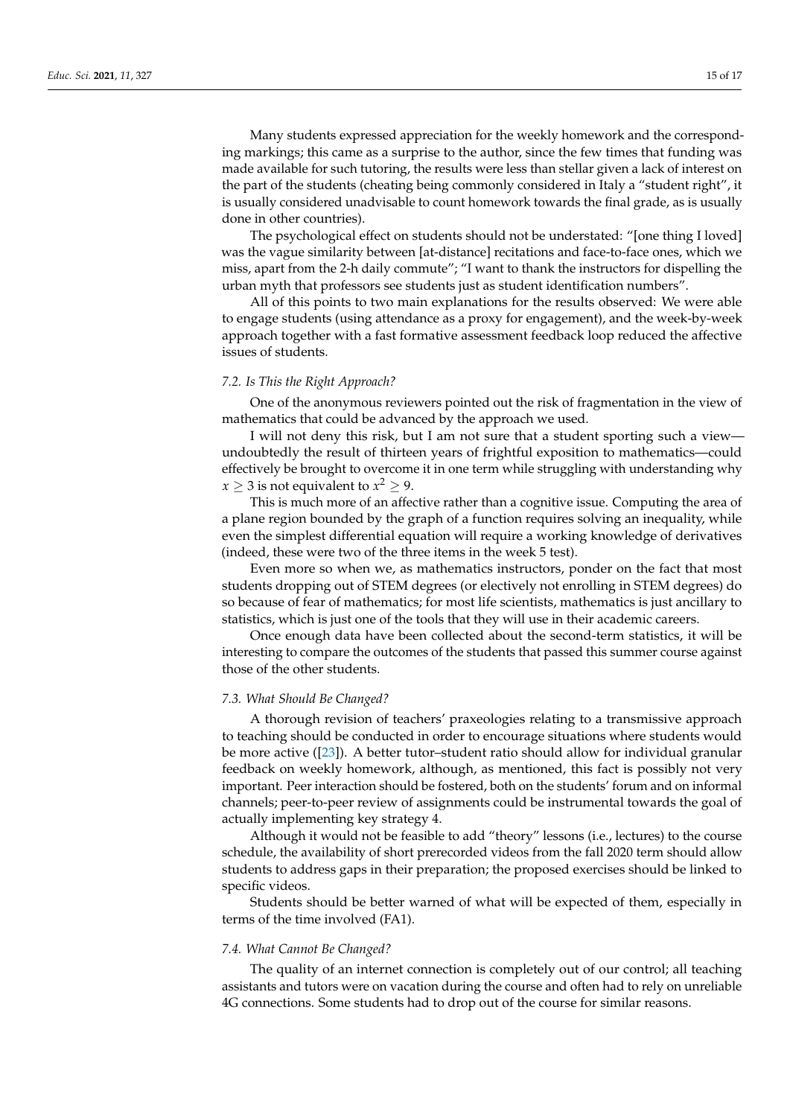Many students expressed appreciation for the weekly homework and the corresponding markings; this came as a surprise to the author, since the few times that funding was made available for such tutoring, the results were less than stellar given a lack of interest on the part of the students (cheating being commonly considered in Italy a "student right", it is usually considered unadvisable to count homework towards the final grade, as is usually done in other countries).

The psychological effect on students should not be understated: "[one thing I loved] was the vague similarity between [at-distance] recitations and face-to-face ones, which we miss, apart from the 2-h daily commute"; "I want to thank the instructors for dispelling the urban myth that professors see students just as student identification numbers".

All of this points to two main explanations for the results observed: We were able to engage students (using attendance as a proxy for engagement), and the week-by-week approach together with a fast formative assessment feedback loop reduced the affective issues of students.

#### *7.2. Is This the Right Approach?*

One of the anonymous reviewers pointed out the risk of fragmentation in the view of mathematics that could be advanced by the approach we used.

I will not deny this risk, but I am not sure that a student sporting such a view undoubtedly the result of thirteen years of frightful exposition to mathematics—could effectively be brought to overcome it in one term while struggling with understanding why  $x \geq 3$  is not equivalent to  $x^2 \geq 9$ .

This is much more of an affective rather than a cognitive issue. Computing the area of a plane region bounded by the graph of a function requires solving an inequality, while even the simplest differential equation will require a working knowledge of derivatives (indeed, these were two of the three items in the week 5 test).

Even more so when we, as mathematics instructors, ponder on the fact that most students dropping out of STEM degrees (or electively not enrolling in STEM degrees) do so because of fear of mathematics; for most life scientists, mathematics is just ancillary to statistics, which is just one of the tools that they will use in their academic careers.

Once enough data have been collected about the second-term statistics, it will be interesting to compare the outcomes of the students that passed this summer course against those of the other students.

#### *7.3. What Should Be Changed?*

A thorough revision of teachers' praxeologies relating to a transmissive approach to teaching should be conducted in order to encourage situations where students would be more active ([\[23\]](#page-16-8)). A better tutor–student ratio should allow for individual granular feedback on weekly homework, although, as mentioned, this fact is possibly not very important. Peer interaction should be fostered, both on the students' forum and on informal channels; peer-to-peer review of assignments could be instrumental towards the goal of actually implementing key strategy 4.

Although it would not be feasible to add "theory" lessons (i.e., lectures) to the course schedule, the availability of short prerecorded videos from the fall 2020 term should allow students to address gaps in their preparation; the proposed exercises should be linked to specific videos.

Students should be better warned of what will be expected of them, especially in terms of the time involved (FA1).

# *7.4. What Cannot Be Changed?*

The quality of an internet connection is completely out of our control; all teaching assistants and tutors were on vacation during the course and often had to rely on unreliable 4G connections. Some students had to drop out of the course for similar reasons.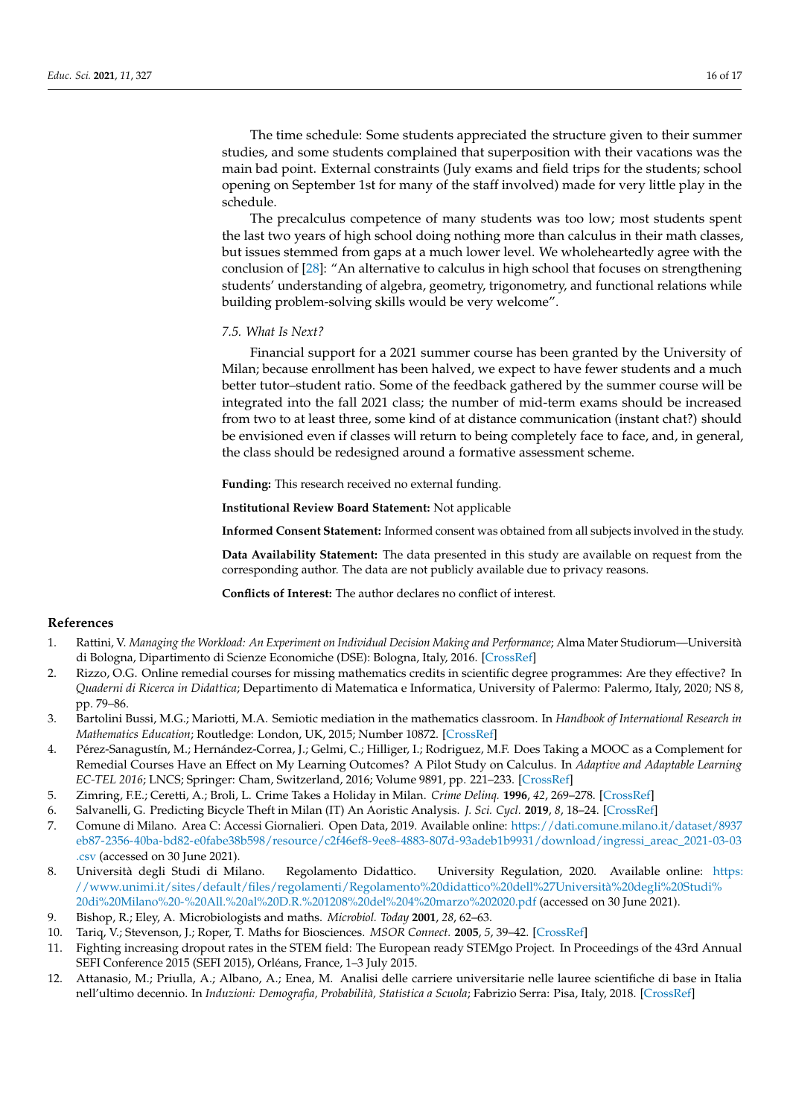The time schedule: Some students appreciated the structure given to their summer studies, and some students complained that superposition with their vacations was the main bad point. External constraints (July exams and field trips for the students; school opening on September 1st for many of the staff involved) made for very little play in the schedule.

The precalculus competence of many students was too low; most students spent the last two years of high school doing nothing more than calculus in their math classes, but issues stemmed from gaps at a much lower level. We wholeheartedly agree with the conclusion of [\[28\]](#page-16-13): "An alternative to calculus in high school that focuses on strengthening students' understanding of algebra, geometry, trigonometry, and functional relations while building problem-solving skills would be very welcome".

# *7.5. What Is Next?*

Financial support for a 2021 summer course has been granted by the University of Milan; because enrollment has been halved, we expect to have fewer students and a much better tutor–student ratio. Some of the feedback gathered by the summer course will be integrated into the fall 2021 class; the number of mid-term exams should be increased from two to at least three, some kind of at distance communication (instant chat?) should be envisioned even if classes will return to being completely face to face, and, in general, the class should be redesigned around a formative assessment scheme.

**Funding:** This research received no external funding.

**Institutional Review Board Statement:** Not applicable

**Informed Consent Statement:** Informed consent was obtained from all subjects involved in the study.

**Data Availability Statement:** The data presented in this study are available on request from the corresponding author. The data are not publicly available due to privacy reasons.

**Conflicts of Interest:** The author declares no conflict of interest.

# **References**

- <span id="page-15-0"></span>1. Rattini, V. *Managing the Workload: An Experiment on Individual Decision Making and Performance*; Alma Mater Studiorum—Università di Bologna, Dipartimento di Scienze Economiche (DSE): Bologna, Italy, 2016. [\[CrossRef\]](http://doi.org/10.6092/unibo/amsacta/5420)
- <span id="page-15-1"></span>2. Rizzo, O.G. Online remedial courses for missing mathematics credits in scientific degree programmes: Are they effective? In *Quaderni di Ricerca in Didattica*; Departimento di Matematica e Informatica, University of Palermo: Palermo, Italy, 2020; NS 8, pp. 79–86.
- <span id="page-15-2"></span>3. Bartolini Bussi, M.G.; Mariotti, M.A. Semiotic mediation in the mathematics classroom. In *Handbook of International Research in Mathematics Education*; Routledge: London, UK, 2015; Number 10872. [\[CrossRef\]](http://dx.doi.org/10.4324/9780203930236.ch28)
- <span id="page-15-3"></span>4. Pérez-Sanagustín, M.; Hernández-Correa, J.; Gelmi, C.; Hilliger, I.; Rodriguez, M.F. Does Taking a MOOC as a Complement for Remedial Courses Have an Effect on My Learning Outcomes? A Pilot Study on Calculus. In *Adaptive and Adaptable Learning EC-TEL 2016*; LNCS; Springer: Cham, Switzerland, 2016; Volume 9891, pp. 221–233. [\[CrossRef\]](http://dx.doi.org/10.1007/978-3-319-45153-4_17)
- <span id="page-15-4"></span>5. Zimring, F.E.; Ceretti, A.; Broli, L. Crime Takes a Holiday in Milan. *Crime Delinq.* **1996**, *42*, 269–278. [\[CrossRef\]](http://dx.doi.org/10.1177/0011128796042002008)
- <span id="page-15-5"></span>6. Salvanelli, G. Predicting Bicycle Theft in Milan (IT) An Aoristic Analysis. *J. Sci. Cycl.* **2019**, *8*, 18–24. [\[CrossRef\]](http://dx.doi.org/10.28985/1920.jsc.04)
- <span id="page-15-6"></span>7. Comune di Milano. Area C: Accessi Giornalieri. Open Data, 2019. Available online: [https://dati.comune.milano.it/dataset/8937](https://dati.comune.milano.it/dataset/8937eb87-2356-40ba-bd82-e0fabe38b598/resource/c2f46ef8-9ee8-4883-807d-93adeb1b9931/download/ingressi_areac_2021-03-03.csv) [eb87-2356-40ba-bd82-e0fabe38b598/resource/c2f46ef8-9ee8-4883-807d-93adeb1b9931/download/ingressi\\_areac\\_2021-03-03](https://dati.comune.milano.it/dataset/8937eb87-2356-40ba-bd82-e0fabe38b598/resource/c2f46ef8-9ee8-4883-807d-93adeb1b9931/download/ingressi_areac_2021-03-03.csv) [.csv](https://dati.comune.milano.it/dataset/8937eb87-2356-40ba-bd82-e0fabe38b598/resource/c2f46ef8-9ee8-4883-807d-93adeb1b9931/download/ingressi_areac_2021-03-03.csv) (accessed on 30 June 2021).
- <span id="page-15-7"></span>8. Università degli Studi di Milano. Regolamento Didattico. University Regulation, 2020. Available online: [https:](https://www.unimi.it/sites/default/files/regolamenti/Regolamento%20didattico%20dell%27Universit�%20degli%20Studi%20di%20Milano%20-%20All.%20al%20D.R.%201208%20del%204%20marzo%202020.pdf) [//www.unimi.it/sites/default/files/regolamenti/Regolamento%20didattico%20dell%27Università%20degli%20Studi%](https://www.unimi.it/sites/default/files/regolamenti/Regolamento%20didattico%20dell%27Universit�%20degli%20Studi%20di%20Milano%20-%20All.%20al%20D.R.%201208%20del%204%20marzo%202020.pdf) [20di%20Milano%20-%20All.%20al%20D.R.%201208%20del%204%20marzo%202020.pdf](https://www.unimi.it/sites/default/files/regolamenti/Regolamento%20didattico%20dell%27Universit�%20degli%20Studi%20di%20Milano%20-%20All.%20al%20D.R.%201208%20del%204%20marzo%202020.pdf) (accessed on 30 June 2021).
- <span id="page-15-8"></span>9. Bishop, R.; Eley, A. Microbiologists and maths. *Microbiol. Today* **2001**, *28*, 62–63.
- <span id="page-15-9"></span>10. Tariq, V.; Stevenson, J.; Roper, T. Maths for Biosciences. *MSOR Connect.* **2005**, *5*, 39–42. [\[CrossRef\]](http://dx.doi.org/10.11120/msor.2005.05020039)
- <span id="page-15-10"></span>11. Fighting increasing dropout rates in the STEM field: The European ready STEMgo Project. In Proceedings of the 43rd Annual SEFI Conference 2015 (SEFI 2015), Orléans, France, 1–3 July 2015.
- <span id="page-15-11"></span>12. Attanasio, M.; Priulla, A.; Albano, A.; Enea, M. Analisi delle carriere universitarie nelle lauree scientifiche di base in Italia nell'ultimo decennio. In *Induzioni: Demografia, Probabilità, Statistica a Scuola*; Fabrizio Serra: Pisa, Italy, 2018. [\[CrossRef\]](http://dx.doi.org/10.19272/201800902002)